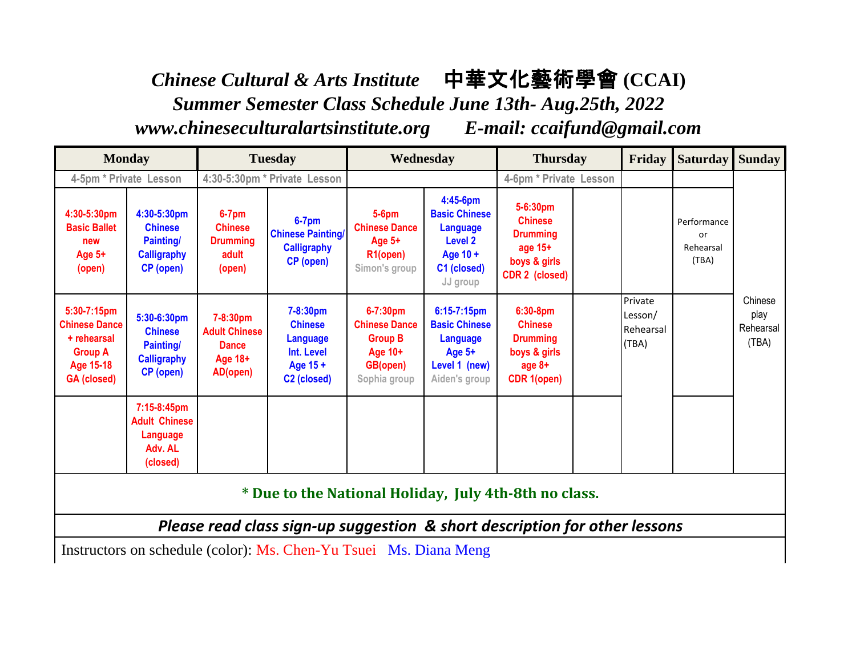*Chinese Cultural & Arts Institute* 中華文化藝術學會 **(CCAI)**  *Summer Semester Class Schedule June 13th- Aug.25th, 2022 www.chineseculturalartsinstitute.org E-mail: ccaifund@gmail.com* 

| <b>Monday</b>                                                                                                  |                                                                                      | <b>Tuesday</b>                                                          |                                                                                             | Wednesday                                                                                      |                                                                                                              | <b>Thursday</b>                                                                               |  | Friday                                   | <b>Saturday</b>                         | <b>Sunday</b>                         |
|----------------------------------------------------------------------------------------------------------------|--------------------------------------------------------------------------------------|-------------------------------------------------------------------------|---------------------------------------------------------------------------------------------|------------------------------------------------------------------------------------------------|--------------------------------------------------------------------------------------------------------------|-----------------------------------------------------------------------------------------------|--|------------------------------------------|-----------------------------------------|---------------------------------------|
| 4-5pm * Private Lesson                                                                                         |                                                                                      | 4:30-5:30pm * Private Lesson                                            |                                                                                             |                                                                                                |                                                                                                              | 4-6pm * Private Lesson                                                                        |  |                                          |                                         |                                       |
| 4:30-5:30pm<br><b>Basic Ballet</b><br>new<br>Age 5+<br>(open)                                                  | 4:30-5:30pm<br><b>Chinese</b><br><b>Painting/</b><br><b>Calligraphy</b><br>CP (open) | $6-7$ pm<br><b>Chinese</b><br><b>Drumming</b><br>adult<br>(open)        | $6-7$ pm<br><b>Chinese Painting/</b><br><b>Calligraphy</b><br>CP (open)                     | $5-6$ pm<br><b>Chinese Dance</b><br>Age $5+$<br>R <sub>1</sub> (open)<br>Simon's group         | 4:45-6pm<br><b>Basic Chinese</b><br><b>Language</b><br><b>Level 2</b><br>Age 10 +<br>C1 (closed)<br>JJ group | 5-6:30pm<br><b>Chinese</b><br><b>Drumming</b><br>age 15+<br>boys & girls<br>CDR 2 (closed)    |  |                                          | Performance<br>or<br>Rehearsal<br>(TBA) |                                       |
| 5:30-7:15pm<br><b>Chinese Dance</b><br>+ rehearsal<br><b>Group A</b><br><b>Age 15-18</b><br><b>GA</b> (closed) | 5:30-6:30pm<br><b>Chinese</b><br><b>Painting/</b><br><b>Calligraphy</b><br>CP (open) | 7-8:30pm<br><b>Adult Chinese</b><br><b>Dance</b><br>Age 18+<br>AD(open) | 7-8:30pm<br><b>Chinese</b><br>Language<br>Int. Level<br>Age 15 +<br>C <sub>2</sub> (closed) | $6 - 7:30$ pm<br><b>Chinese Dance</b><br><b>Group B</b><br>Age 10+<br>GB(open)<br>Sophia group | $6:15-7:15$ pm<br><b>Basic Chinese</b><br>Language<br>Age $5+$<br>Level 1 (new)<br>Aiden's group             | 6:30-8pm<br><b>Chinese</b><br><b>Drumming</b><br>boys & girls<br>age 8+<br><b>CDR 1(open)</b> |  | Private<br>Lesson/<br>Rehearsal<br>(TBA) |                                         | Chinese<br>play<br>Rehearsal<br>(TBA) |
|                                                                                                                | 7:15-8:45pm<br><b>Adult Chinese</b><br>Language<br>Adv. AL<br>(closed)               |                                                                         |                                                                                             |                                                                                                |                                                                                                              |                                                                                               |  |                                          |                                         |                                       |
| * Due to the National Holiday, July 4th-8th no class.                                                          |                                                                                      |                                                                         |                                                                                             |                                                                                                |                                                                                                              |                                                                                               |  |                                          |                                         |                                       |
| Please read class sign-up suggestion & short description for other lessons                                     |                                                                                      |                                                                         |                                                                                             |                                                                                                |                                                                                                              |                                                                                               |  |                                          |                                         |                                       |
| Instructors on schedule (color): Ms. Chen-Yu Tsuei Ms. Diana Meng                                              |                                                                                      |                                                                         |                                                                                             |                                                                                                |                                                                                                              |                                                                                               |  |                                          |                                         |                                       |